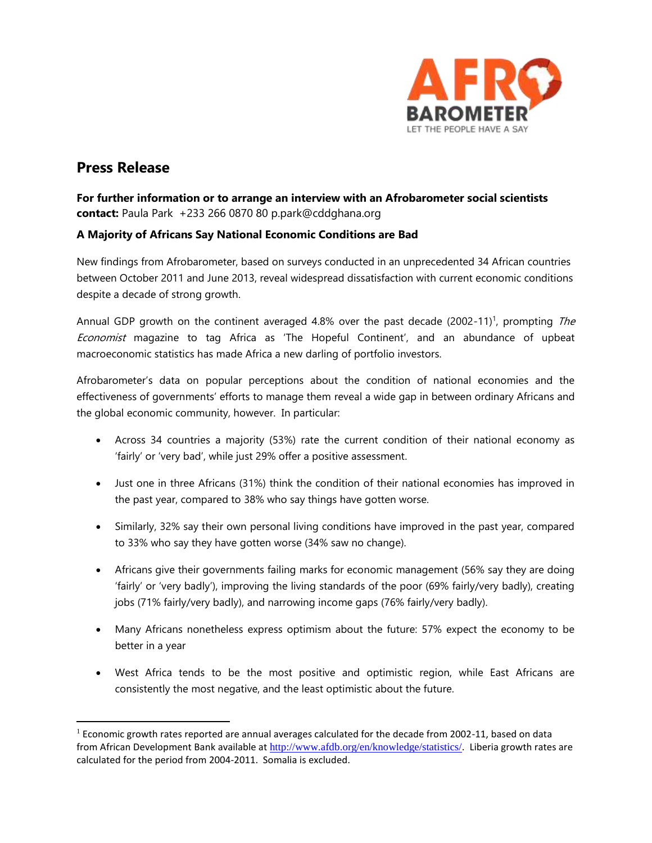

# **Press Release**

 $\overline{\phantom{a}}$ 

**For further information or to arrange an interview with an Afrobarometer social scientists contact:** Paula Park +233 266 0870 80 p.park@cddghana.org

## **A Majority of Africans Say National Economic Conditions are Bad**

New findings from Afrobarometer, based on surveys conducted in an unprecedented 34 African countries between October 2011 and June 2013, reveal widespread dissatisfaction with current economic conditions despite a decade of strong growth.

Annual GDP growth on the continent averaged 4.8% over the past decade (2002-11)<sup>1</sup>, prompting The Economist magazine to tag Africa as 'The Hopeful Continent', and an abundance of upbeat macroeconomic statistics has made Africa a new darling of portfolio investors.

Afrobarometer's data on popular perceptions about the condition of national economies and the effectiveness of governments' efforts to manage them reveal a wide gap in between ordinary Africans and the global economic community, however. In particular:

- Across 34 countries a majority (53%) rate the current condition of their national economy as 'fairly' or 'very bad', while just 29% offer a positive assessment.
- Just one in three Africans (31%) think the condition of their national economies has improved in the past year, compared to 38% who say things have gotten worse.
- Similarly, 32% say their own personal living conditions have improved in the past year, compared to 33% who say they have gotten worse (34% saw no change).
- Africans give their governments failing marks for economic management (56% say they are doing 'fairly' or 'very badly'), improving the living standards of the poor (69% fairly/very badly), creating jobs (71% fairly/very badly), and narrowing income gaps (76% fairly/very badly).
- Many Africans nonetheless express optimism about the future: 57% expect the economy to be better in a year
- West Africa tends to be the most positive and optimistic region, while East Africans are consistently the most negative, and the least optimistic about the future.

 $1$  Economic growth rates reported are annual averages calculated for the decade from 2002-11, based on data from African Development Bank available at <http://www.afdb.org/en/knowledge/statistics/>. Liberia growth rates are calculated for the period from 2004-2011. Somalia is excluded.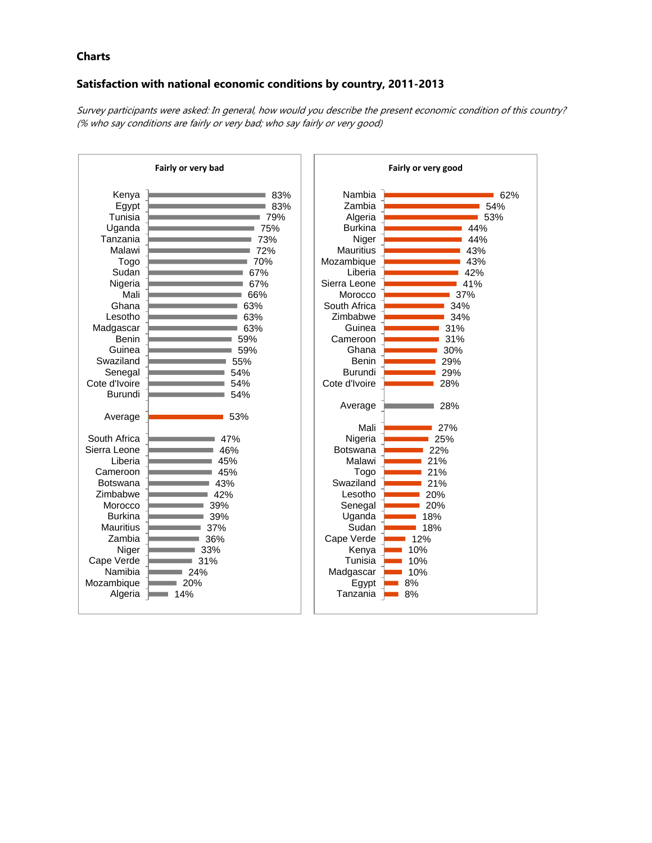### **Charts**

# **Satisfaction with national economic conditions by country, 2011-2013**

Survey participants were asked: In general, how would you describe the present economic condition of this country? (% who say conditions are fairly or very bad; who say fairly or very good)

| Fairly or very bad  |            | Fairly or very good |            |
|---------------------|------------|---------------------|------------|
| Kenya               | 83%        | Nambia              | 62%        |
| Egypt               | 83%        | Zambia              | 54%        |
| Tunisia             | 79%        | Algeria             | 53%        |
| Uganda              | 75%        | <b>Burkina</b>      | 44%        |
| Tanzania            | 73%        | Niger               | 44%        |
| Malawi              | 72%        | <b>Mauritius</b>    | 43%        |
| Togo                | 70%        | Mozambique          | 43%        |
| Sudan               | 67%        | Liberia             | 42%        |
| Nigeria             | 67%        | Sierra Leone        | 41%        |
| Mali                | 66%        | Morocco             | 37%        |
| Ghana               | 63%        | South Africa        | 34%        |
| Lesotho             | 63%        | Zimbabwe            | 34%        |
| Madgascar           | 63%        | Guinea              | 31%        |
| <b>Benin</b>        | 59%        | Cameroon            | 31%        |
| Guinea              | 59%        | Ghana               | 30%        |
| Swaziland           | 55%        | Benin               | 29%        |
| Senegal             | 54%        | <b>Burundi</b>      | 29%        |
| Cote d'Ivoire       | 54%        | Cote d'Ivoire       | 28%        |
| Burundi             | 54%        |                     |            |
|                     |            | Average             | 28%        |
| Average             | 53%        |                     |            |
|                     |            | Mali                | 27%        |
| South Africa        | 47%        | Nigeria             | 25%        |
| Sierra Leone        | 46%        | <b>Botswana</b>     | 22%        |
| Liberia             | 45%        | Malawi              | 21%        |
| Cameroon            | 45%        | Togo                | 21%        |
| <b>Botswana</b>     | 43%        | Swaziland           | 21%        |
| Zimbabwe            | 42%        | Lesotho             | 20%        |
| Morocco             | 39%        | Senegal             | 20%        |
| <b>Burkina</b>      | 39%        | Uganda              | 18%        |
| <b>Mauritius</b>    | 37%        | Sudan               | 18%        |
| Zambia              | 36%        | Cape Verde          | 12%        |
| Niger<br>Cape Verde | 33%        | Kenya<br>Tunisia    | 10%<br>10% |
| Namibia             | 31%<br>24% |                     | 10%        |
| Mozambique          | 20%        | Madgascar<br>Egypt  | 8%         |
| Algeria             | 14%        | Tanzania            | 8%         |
|                     |            |                     |            |
|                     |            |                     |            |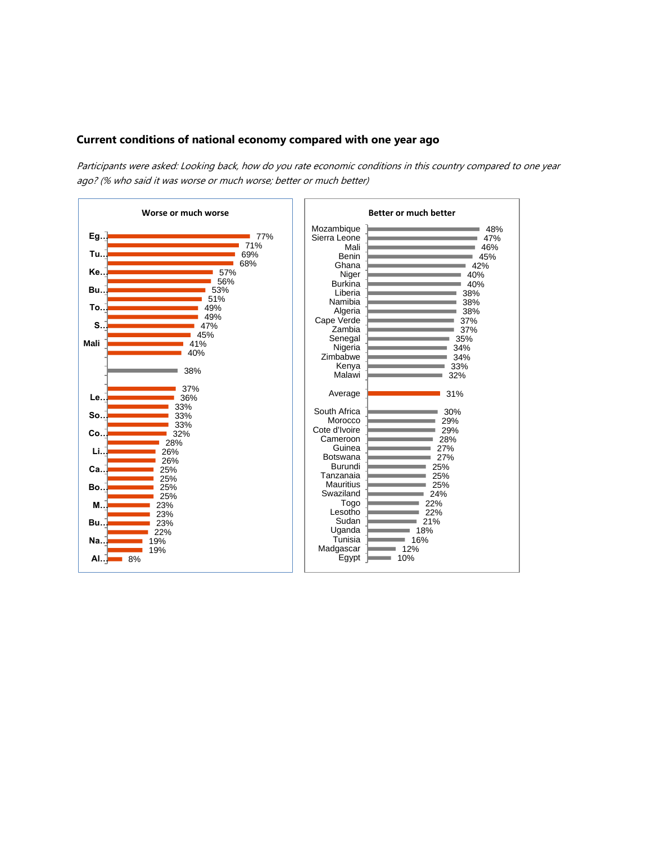#### **Current conditions of national economy compared with one year ago**

Participants were asked: Looking back, how do you rate economic conditions in this country compared to one year ago? (% who said it was worse or much worse; better or much better)

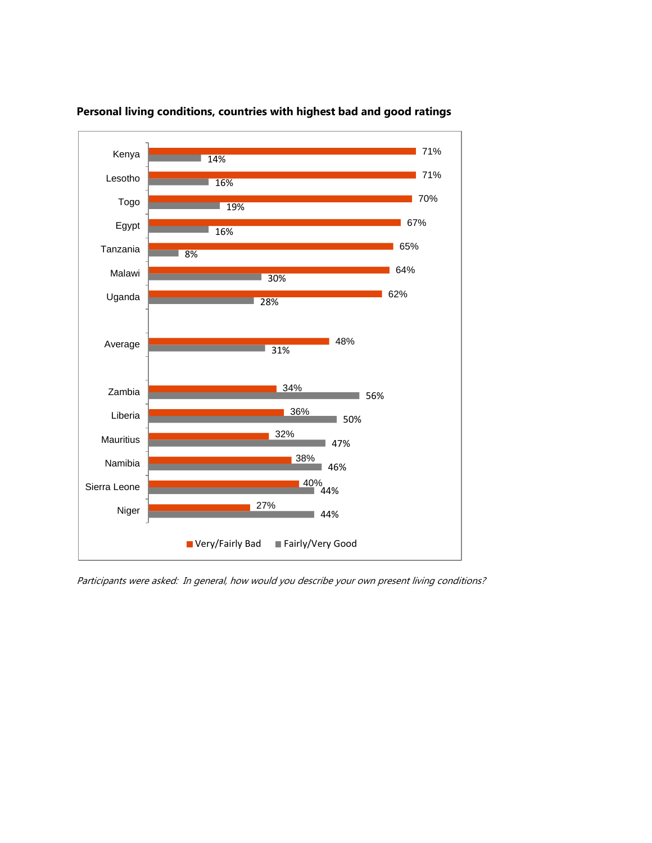

## **Personal living conditions, countries with highest bad and good ratings**

Participants were asked: In general, how would you describe your own present living conditions?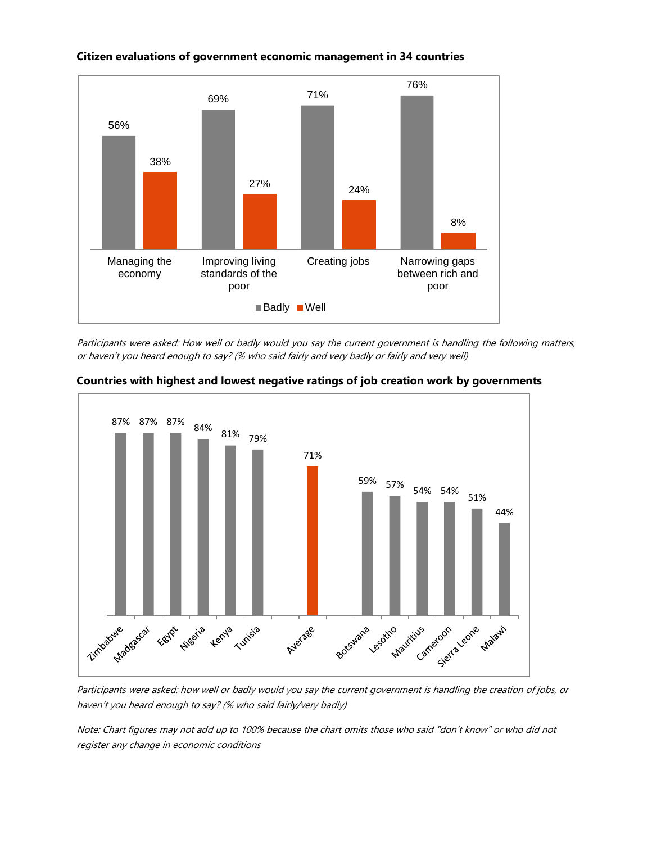

# **Citizen evaluations of government economic management in 34 countries**

Participants were asked: How well or badly would you say the current government is handling the following matters, or haven't you heard enough to say? (% who said fairly and very badly or fairly and very well)



#### **Countries with highest and lowest negative ratings of job creation work by governments**

Participants were asked: how well or badly would you say the current government is handling the creation of jobs, or haven't you heard enough to say? (% who said fairly/very badly)

Note: Chart figures may not add up to 100% because the chart omits those who said "don't know" or who did not register any change in economic conditions